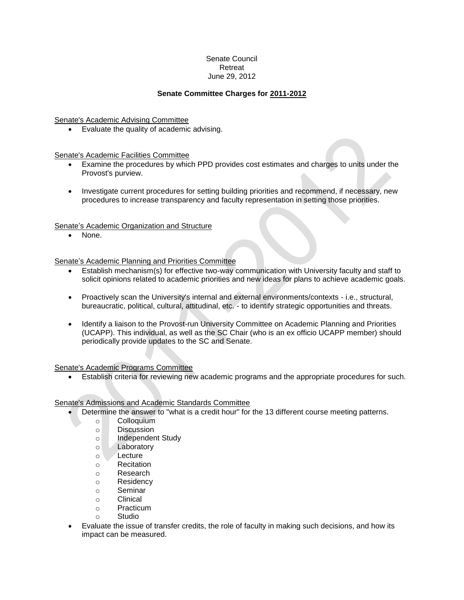# Senate Council Retreat June 29, 2012

# **Senate Committee Charges for 2011-2012**

Senate's Academic Advising Committee

Evaluate the quality of academic advising.

Senate's Academic Facilities Committee

- Examine the procedures by which PPD provides cost estimates and charges to units under the Provost's purview.
- Investigate current procedures for setting building priorities and recommend, if necessary, new procedures to increase transparency and faculty representation in setting those priorities.

Senate's Academic Organization and Structure

None.

Senate's Academic Planning and Priorities Committee

- Establish mechanism(s) for effective two-way communication with University faculty and staff to solicit opinions related to academic priorities and new ideas for plans to achieve academic goals.
- Proactively scan the University's internal and external environments/contexts i.e., structural, bureaucratic, political, cultural, attitudinal, etc. - to identify strategic opportunities and threats.
- Identify a liaison to the Provost-run University Committee on Academic Planning and Priorities (UCAPP). This individual, as well as the SC Chair (who is an ex officio UCAPP member) should periodically provide updates to the SC and Senate.

Senate's Academic Programs Committee

Establish criteria for reviewing new academic programs and the appropriate procedures for such.

Senate's Admissions and Academic Standards Committee

- Determine the answer to "what is a credit hour" for the 13 different course meeting patterns.
	- o Colloquium
	- o Discussion
	- o Independent Study
	- o Laboratory
	- o Lecture
	- o Recitation
	- o Research
	- o Residency
	- o Seminar
	- o Clinical
	- o Practicum
	- o Studio
- Evaluate the issue of transfer credits, the role of faculty in making such decisions, and how its impact can be measured.